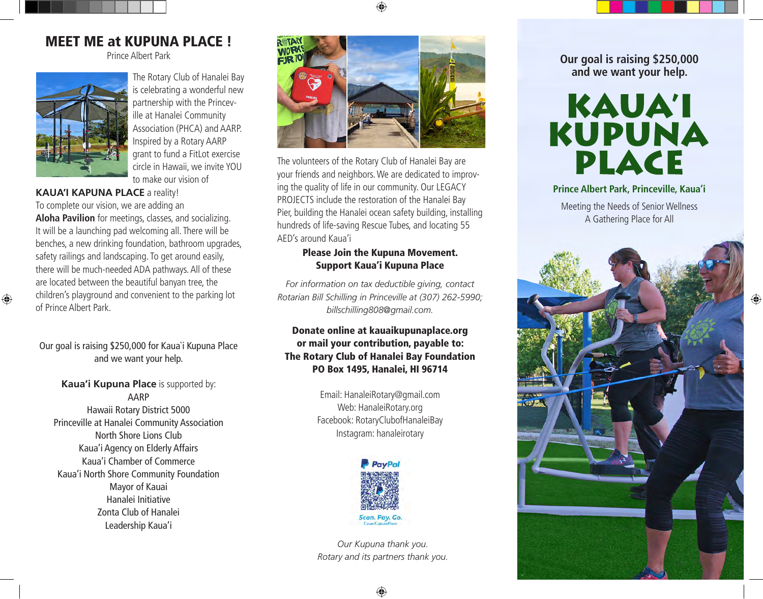# MEET ME at KUPUNA PLACE !

Prince Albert Park



The Rotary Club of Hanalei Bay is celebrating a wonderful new partnership with the Princeville at Hanalei Community Association (PHCA) and AARP. Inspired by a Rotary AARP grant to fund a FitLot exercise circle in Hawaii, we invite YOU to make our vision of

### **KAUA'I KAPUNA PLACE** a reality!

To complete our vision, we are adding an **Aloha Pavilion** for meetings, classes, and socializing. It will be a launching pad welcoming all. There will be benches, a new drinking foundation, bathroom upgrades, safety railings and landscaping. To get around easily, there will be much-needed ADA pathways. All of these are located between the beautiful banyan tree, the children's playground and convenient to the parking lot of Prince Albert Park.

Our goal is raising \$250,000 for Kaua`i Kupuna Place and we want your help.

**Kaua'i Kupuna Place** is supported by: AARP Hawaii Rotary District 5000 Princeville at Hanalei Community Association North Shore Lions Club Kaua'i Agency on Elderly Affairs Kaua'i Chamber of Commerce Kaua'i North Shore Community Foundation Mayor of Kauai Hanalei Initiative Zonta Club of Hanalei Leadership Kaua'i



The volunteers of the Rotary Club of Hanalei Bay are your friends and neighbors. We are dedicated to improving the quality of life in our community. Our LEGACY PROJECTS include the restoration of the Hanalei Bay Pier, building the Hanalei ocean safety building, installing hundreds of life-saving Rescue Tubes, and locating 55 AED's around Kaua'i

## Please Join the Kupuna Movement. Support Kaua'i Kupuna Place

*For information on tax deductible giving, contact Rotarian Bill Schilling in Princeville at (307) 262-5990; billschilling808@gmail.com.*

## Donate online at kauaikupunaplace.org or mail your contribution, payable to: The Rotary Club of Hanalei Bay Foundation PO Box 1495, Hanalei, HI 96714

Email: HanaleiRotary@gmail.com Web: HanaleiRotary.org Facebook: RotaryClubofHanaleiBay Instagram: hanaleirotary



*Our Kupuna thank you. Rotary and its partners thank you.* **Our goal is raising \$250,000 and we want your help.** 



### **Prince Albert Park, Princeville, Kaua'i**

Meeting the Needs of Senior Wellness A Gathering Place for All